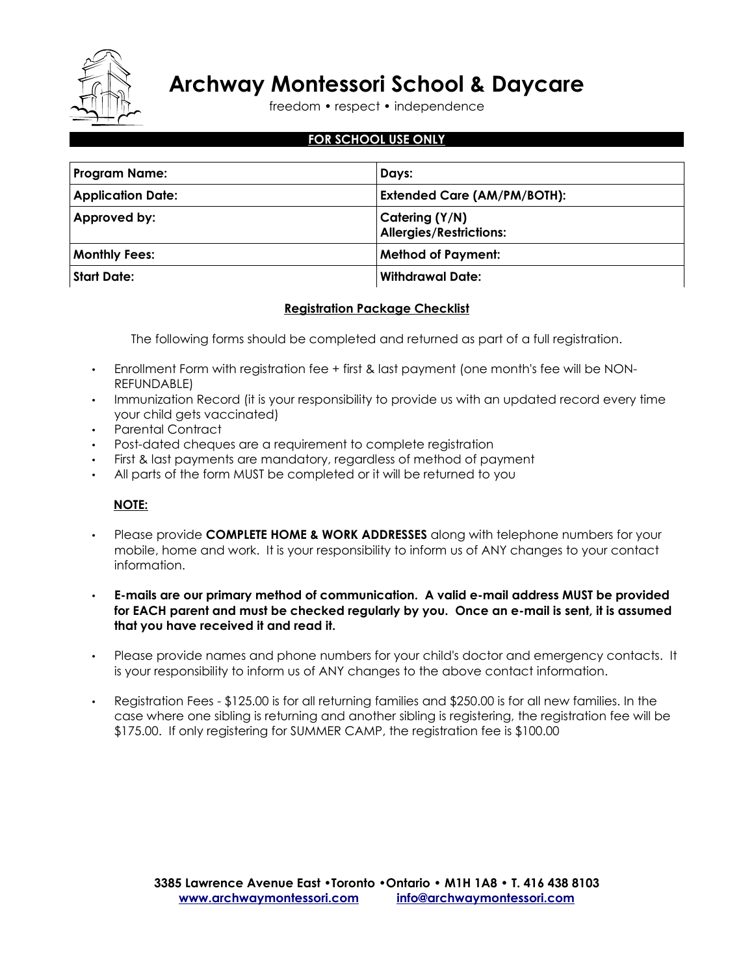

freedom • respect • independence

### **FOR SCHOOL USE ONLY**

| <b>Program Name:</b>     | Days:                                            |
|--------------------------|--------------------------------------------------|
| <b>Application Date:</b> | <b>Extended Care (AM/PM/BOTH):</b>               |
| Approved by:             | Catering (Y/N)<br><b>Allergies/Restrictions:</b> |
| <b>Monthly Fees:</b>     | <b>Method of Payment:</b>                        |
| <b>Start Date:</b>       | Withdrawal Date:                                 |

### **Registration Package Checklist**

The following forms should be completed and returned as part of a full registration.

- Enrollment Form with registration fee + first & last payment (one month's fee will be NON-REFUNDABLE)
- Immunization Record (it is your responsibility to provide us with an updated record every time your child gets vaccinated)
- Parental Contract
- Post-dated cheques are a requirement to complete registration
- First & last payments are mandatory, regardless of method of payment
- All parts of the form MUST be completed or it will be returned to you

### **NOTE:**

- Please provide **COMPLETE HOME & WORK ADDRESSES** along with telephone numbers for your mobile, home and work. It is your responsibility to inform us of ANY changes to your contact information.
- **E-mails are our primary method of communication. A valid e-mail address MUST be provided for EACH parent and must be checked regularly by you. Once an e-mail is sent, it is assumed that you have received it and read it.**
- Please provide names and phone numbers for your child's doctor and emergency contacts. It is your responsibility to inform us of ANY changes to the above contact information.
- Registration Fees \$125.00 is for all returning families and \$250.00 is for all new families. In the case where one sibling is returning and another sibling is registering, the registration fee will be \$175.00. If only registering for SUMMER CAMP, the registration fee is \$100.00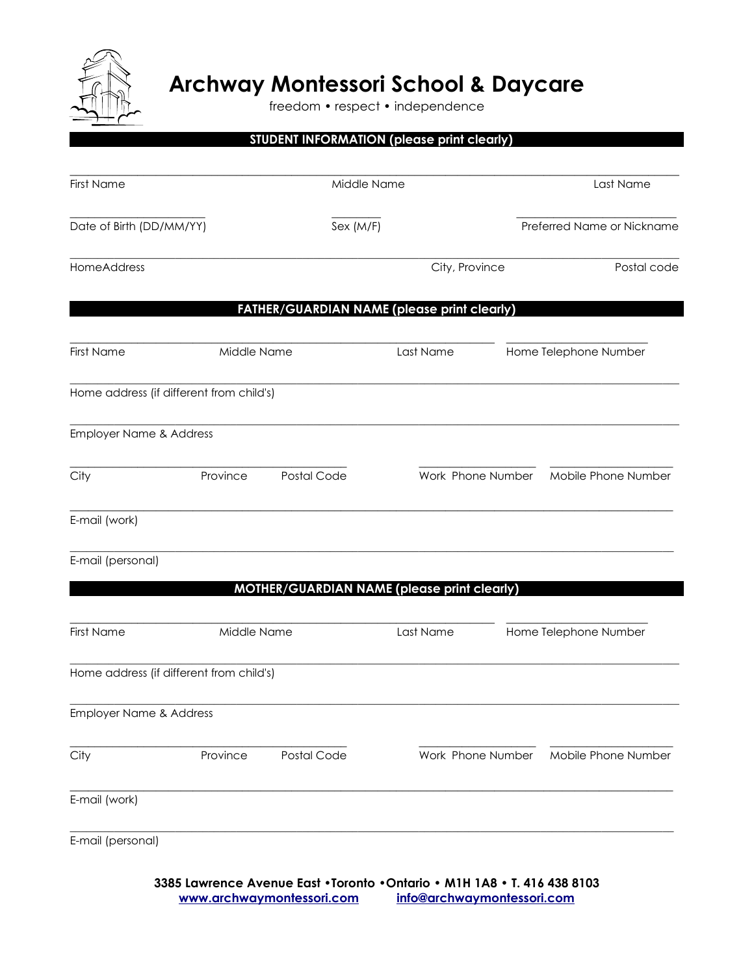

freedom • respect • independence

|                                          |             | STUDENT INFORMATION (please print clearly)         |             |                   |                            |  |
|------------------------------------------|-------------|----------------------------------------------------|-------------|-------------------|----------------------------|--|
| <b>First Name</b>                        |             |                                                    | Middle Name |                   | Last Name                  |  |
| Date of Birth (DD/MM/YY)                 |             | Sex (M/F)                                          |             |                   | Preferred Name or Nickname |  |
| HomeAddress                              |             |                                                    |             | City, Province    | Postal code                |  |
|                                          |             | <b>FATHER/GUARDIAN NAME (please print clearly)</b> |             |                   |                            |  |
| <b>First Name</b>                        | Middle Name |                                                    |             | Last Name         | Home Telephone Number      |  |
| Home address (if different from child's) |             |                                                    |             |                   |                            |  |
| Employer Name & Address                  |             |                                                    |             |                   |                            |  |
| City                                     | Province    | Postal Code                                        |             | Work Phone Number | Mobile Phone Number        |  |
| E-mail (work)                            |             |                                                    |             |                   |                            |  |
| E-mail (personal)                        |             |                                                    |             |                   |                            |  |
|                                          |             | MOTHER/GUARDIAN NAME (please print clearly)        |             |                   |                            |  |
| <b>First Name</b>                        | Middle Name |                                                    |             | Last Name         | Home Telephone Number      |  |
| Home address (if different from child's) |             |                                                    |             |                   |                            |  |
| Employer Name & Address                  |             |                                                    |             |                   |                            |  |
| City                                     | Province    | Postal Code                                        |             | Work Phone Number | Mobile Phone Number        |  |
| E-mail (work)                            |             |                                                    |             |                   |                            |  |
| E-mail (personal)                        |             |                                                    |             |                   |                            |  |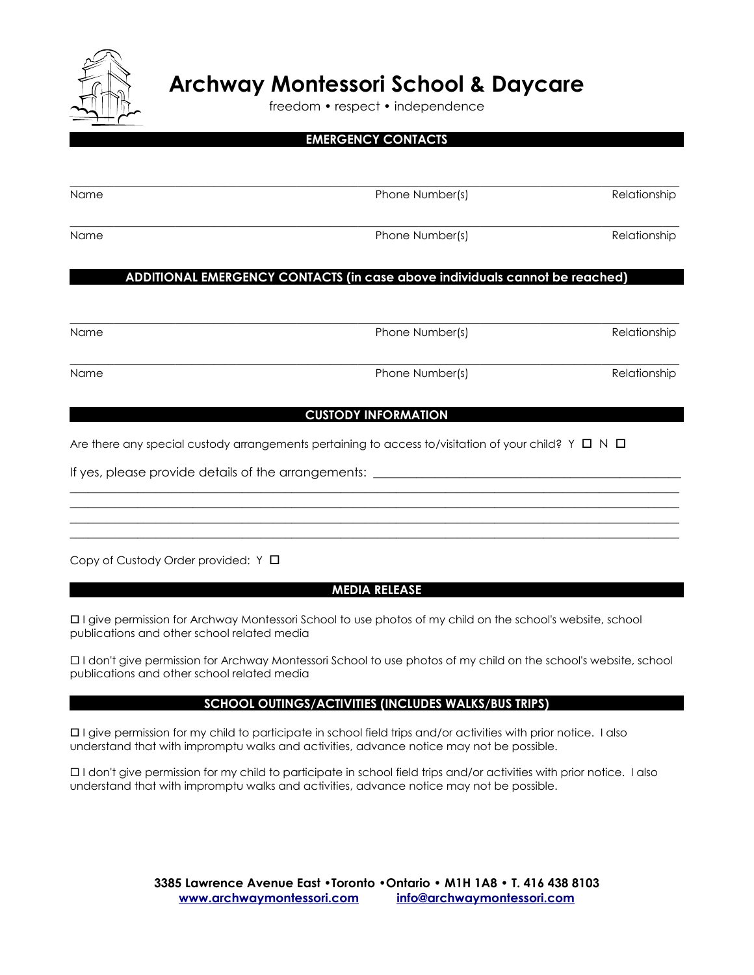

freedom • respect • independence

# **EMERGENCY CONTACTS**

| Name | Phone Number(s) | Relationship |
|------|-----------------|--------------|
| Name | Phone Number(s) | Relationship |
|      |                 |              |

### **ADDITIONAL EMERGENCY CONTACTS (in case above individuals cannot be reached)**

 $\_$  , and the set of the set of the set of the set of the set of the set of the set of the set of the set of the set of the set of the set of the set of the set of the set of the set of the set of the set of the set of th Name **Relationship Phone Number(s)** Relationship  $\_$  , and the set of the set of the set of the set of the set of the set of the set of the set of the set of the set of the set of the set of the set of the set of the set of the set of the set of the set of the set of th Name **Relationship Phone Number(s)** Relationship

**CUSTODY INFORMATION**

\_\_\_\_\_\_\_\_\_\_\_\_\_\_\_\_\_\_\_\_\_\_\_\_\_\_\_\_\_\_\_\_\_\_\_\_\_\_\_\_\_\_\_\_\_\_\_\_\_\_\_\_\_\_\_\_\_\_\_\_\_\_\_\_\_\_\_\_\_\_\_\_\_\_\_\_\_\_\_\_\_\_\_\_\_\_\_\_\_\_\_\_\_\_\_\_\_\_\_ \_\_\_\_\_\_\_\_\_\_\_\_\_\_\_\_\_\_\_\_\_\_\_\_\_\_\_\_\_\_\_\_\_\_\_\_\_\_\_\_\_\_\_\_\_\_\_\_\_\_\_\_\_\_\_\_\_\_\_\_\_\_\_\_\_\_\_\_\_\_\_\_\_\_\_\_\_\_\_\_\_\_\_\_\_\_\_\_\_\_\_\_\_\_\_\_\_\_\_ \_\_\_\_\_\_\_\_\_\_\_\_\_\_\_\_\_\_\_\_\_\_\_\_\_\_\_\_\_\_\_\_\_\_\_\_\_\_\_\_\_\_\_\_\_\_\_\_\_\_\_\_\_\_\_\_\_\_\_\_\_\_\_\_\_\_\_\_\_\_\_\_\_\_\_\_\_\_\_\_\_\_\_\_\_\_\_\_\_\_\_\_\_\_\_\_\_\_\_ \_\_\_\_\_\_\_\_\_\_\_\_\_\_\_\_\_\_\_\_\_\_\_\_\_\_\_\_\_\_\_\_\_\_\_\_\_\_\_\_\_\_\_\_\_\_\_\_\_\_\_\_\_\_\_\_\_\_\_\_\_\_\_\_\_\_\_\_\_\_\_\_\_\_\_\_\_\_\_\_\_\_\_\_\_\_\_\_\_\_\_\_\_\_\_\_\_\_\_

Are there any special custody arrangements pertaining to access to/visitation of your child?  $Y \Box N \Box$ 

If yes, please provide details of the arrangements: \_\_\_\_\_\_\_\_\_\_\_\_\_\_\_\_\_\_\_\_\_\_\_\_\_\_\_\_

Copy of Custody Order provided: Y □

### **MEDIA RELEASE**

 I give permission for Archway Montessori School to use photos of my child on the school's website, school publications and other school related media

 I don't give permission for Archway Montessori School to use photos of my child on the school's website, school publications and other school related media

### **SCHOOL OUTINGS/ACTIVITIES (INCLUDES WALKS/BUS TRIPS)**

 I give permission for my child to participate in school field trips and/or activities with prior notice. I also understand that with impromptu walks and activities, advance notice may not be possible.

 I don't give permission for my child to participate in school field trips and/or activities with prior notice. I also understand that with impromptu walks and activities, advance notice may not be possible.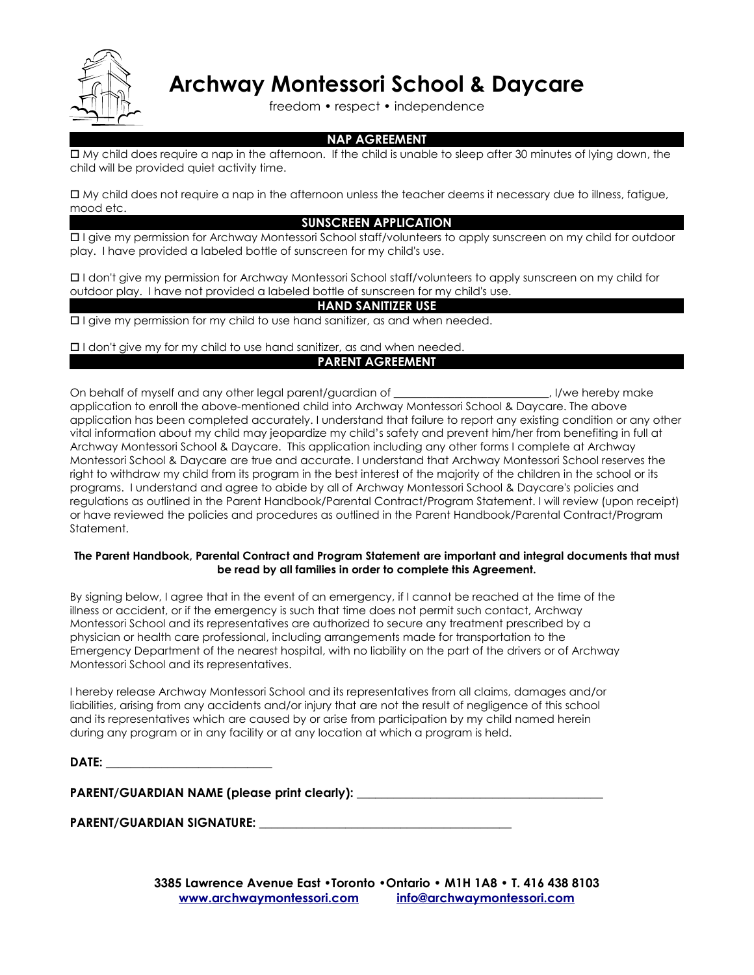

freedom • respect • independence

### **NAP AGREEMENT**

 My child does require a nap in the afternoon. If the child is unable to sleep after 30 minutes of lying down, the child will be provided quiet activity time.

 My child does not require a nap in the afternoon unless the teacher deems it necessary due to illness, fatigue, mood etc.

### **SUNSCREEN APPLICATION**

 I give my permission for Archway Montessori School staff/volunteers to apply sunscreen on my child for outdoor play. I have provided a labeled bottle of sunscreen for my child's use.

 I don't give my permission for Archway Montessori School staff/volunteers to apply sunscreen on my child for outdoor play. I have not provided a labeled bottle of sunscreen for my child's use.

### **HAND SANITIZER USE**

 $\Box$  I give my permission for my child to use hand sanitizer, as and when needed.

I don't give my for my child to use hand sanitizer, as and when needed.

### **PARENT AGREEMENT**

On behalf of myself and any other legal parent/guardian of \_\_\_\_\_\_\_\_\_\_\_\_\_\_\_\_\_\_\_\_\_\_\_\_\_\_\_\_, I/we hereby make application to enroll the above-mentioned child into Archway Montessori School & Daycare. The above application has been completed accurately. I understand that failure to report any existing condition or any other vital information about my child may jeopardize my child's safety and prevent him/her from benefiting in full at Archway Montessori School & Daycare. This application including any other forms I complete at Archway Montessori School & Daycare are true and accurate. I understand that Archway Montessori School reserves the right to withdraw my child from its program in the best interest of the majority of the children in the school or its programs. I understand and agree to abide by all of Archway Montessori School & Daycare's policies and regulations as outlined in the Parent Handbook/Parental Contract/Program Statement. I will review (upon receipt) or have reviewed the policies and procedures as outlined in the Parent Handbook/Parental Contract/Program Statement.

### **The Parent Handbook, Parental Contract and Program Statement are important and integral documents that must be read by all families in order to complete this Agreement.**

By signing below, I agree that in the event of an emergency, if I cannot be reached at the time of the illness or accident, or if the emergency is such that time does not permit such contact, Archway Montessori School and its representatives are authorized to secure any treatment prescribed by a physician or health care professional, including arrangements made for transportation to the Emergency Department of the nearest hospital, with no liability on the part of the drivers or of Archway Montessori School and its representatives.

I hereby release Archway Montessori School and its representatives from all claims, damages and/or liabilities, arising from any accidents and/or injury that are not the result of negligence of this school and its representatives which are caused by or arise from participation by my child named herein during any program or in any facility or at any location at which a program is held.

|--|

**PARENT/GUARDIAN NAME (please print clearly): \_\_\_\_\_\_\_\_\_\_\_\_\_\_\_\_\_\_\_\_\_\_\_\_\_\_\_\_\_\_\_\_\_\_\_\_\_\_\_\_**

### PARENT/GUARDIAN SIGNATURE: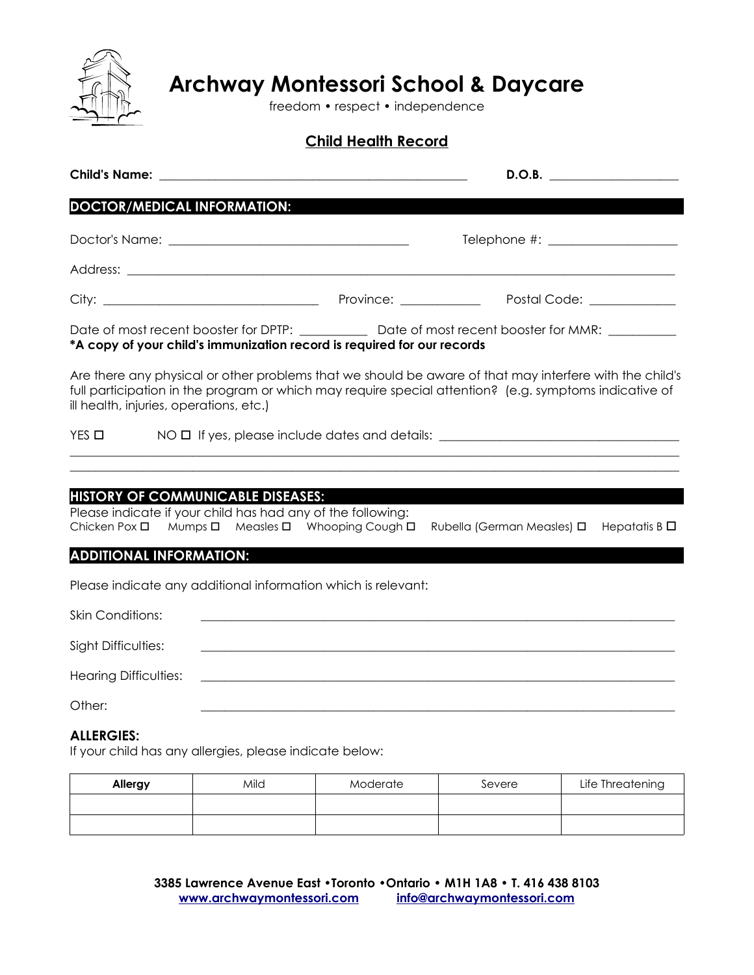

freedom • respect • independence

### **Child Health Record**

|                                                                                                                                 |      |                                                                                                                                                                                                                   |                            | D.O.B.                                 |
|---------------------------------------------------------------------------------------------------------------------------------|------|-------------------------------------------------------------------------------------------------------------------------------------------------------------------------------------------------------------------|----------------------------|----------------------------------------|
| <b>DOCTOR/MEDICAL INFORMATION:</b>                                                                                              |      |                                                                                                                                                                                                                   |                            |                                        |
|                                                                                                                                 |      |                                                                                                                                                                                                                   |                            | Telephone #: ____________________      |
|                                                                                                                                 |      |                                                                                                                                                                                                                   |                            |                                        |
|                                                                                                                                 |      |                                                                                                                                                                                                                   |                            | Postal Code: The Contract of the Code: |
|                                                                                                                                 |      | Date of most recent booster for DPTP: ______________ Date of most recent booster for MMR: _________<br>*A copy of your child's immunization record is required for our records                                    |                            |                                        |
| ill health, injuries, operations, etc.)                                                                                         |      | Are there any physical or other problems that we should be aware of that may interfere with the child's<br>full participation in the program or which may require special attention? (e.g. symptoms indicative of |                            |                                        |
| $YES$ $\square$                                                                                                                 |      | NO $\Box$ If yes, please include dates and details: _______________________________                                                                                                                               |                            |                                        |
| <b>HISTORY OF COMMUNICABLE DISEASES:</b><br>Please indicate if your child has had any of the following:<br>Chicken Pox <b>□</b> |      | Mumps □ Measles □ Whooping Cough □                                                                                                                                                                                | Rubella (German Measles) □ | Hepatatis B $\Box$                     |
| <b>ADDITIONAL INFORMATION:</b>                                                                                                  |      |                                                                                                                                                                                                                   |                            |                                        |
|                                                                                                                                 |      | Please indicate any additional information which is relevant:                                                                                                                                                     |                            |                                        |
| <b>Skin Conditions:</b>                                                                                                         |      |                                                                                                                                                                                                                   |                            |                                        |
| Sight Difficulties:                                                                                                             |      |                                                                                                                                                                                                                   |                            |                                        |
| <b>Hearing Difficulties:</b>                                                                                                    |      |                                                                                                                                                                                                                   |                            |                                        |
| Other:                                                                                                                          |      |                                                                                                                                                                                                                   |                            |                                        |
| <b>ALLERGIES:</b><br>If your child has any allergies, please indicate below:                                                    |      |                                                                                                                                                                                                                   |                            |                                        |
| Allergy                                                                                                                         | Mild | Moderate                                                                                                                                                                                                          | Severe                     | Life Threatening                       |

| and the control of the control of the control of the control of the control of the control of the control of the | the control of the control of the control of the control of the control of the control of the control of the control of the control of the control of the control of the control of the control of the control of the control |  |
|------------------------------------------------------------------------------------------------------------------|-------------------------------------------------------------------------------------------------------------------------------------------------------------------------------------------------------------------------------|--|
|                                                                                                                  |                                                                                                                                                                                                                               |  |
|                                                                                                                  |                                                                                                                                                                                                                               |  |
|                                                                                                                  |                                                                                                                                                                                                                               |  |
|                                                                                                                  |                                                                                                                                                                                                                               |  |
|                                                                                                                  |                                                                                                                                                                                                                               |  |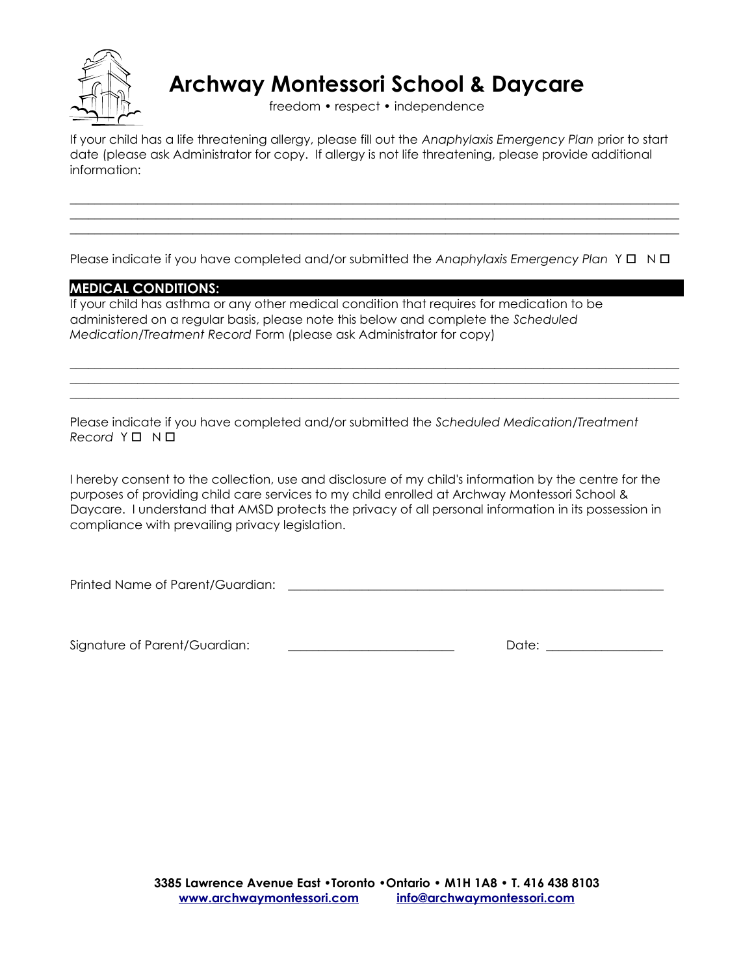

freedom • respect • independence

If your child has a life threatening allergy, please fill out the *Anaphylaxis Emergency Plan* prior to start date (please ask Administrator for copy. If allergy is not life threatening, please provide additional information:

\_\_\_\_\_\_\_\_\_\_\_\_\_\_\_\_\_\_\_\_\_\_\_\_\_\_\_\_\_\_\_\_\_\_\_\_\_\_\_\_\_\_\_\_\_\_\_\_\_\_\_\_\_\_\_\_\_\_\_\_\_\_\_\_\_\_\_\_\_\_\_\_\_\_\_\_\_\_\_\_\_\_\_\_\_\_\_\_\_\_\_\_\_\_\_\_\_\_\_ \_\_\_\_\_\_\_\_\_\_\_\_\_\_\_\_\_\_\_\_\_\_\_\_\_\_\_\_\_\_\_\_\_\_\_\_\_\_\_\_\_\_\_\_\_\_\_\_\_\_\_\_\_\_\_\_\_\_\_\_\_\_\_\_\_\_\_\_\_\_\_\_\_\_\_\_\_\_\_\_\_\_\_\_\_\_\_\_\_\_\_\_\_\_\_\_\_\_\_  $\_$  , and the set of the set of the set of the set of the set of the set of the set of the set of the set of the set of the set of the set of the set of the set of the set of the set of the set of the set of the set of th

Please indicate if you have completed and/or submitted the *Anaphylaxis Emergency Plan* Y N

 $\_$  , and the set of the set of the set of the set of the set of the set of the set of the set of the set of the set of the set of the set of the set of the set of the set of the set of the set of the set of the set of th  $\_$  , and the set of the set of the set of the set of the set of the set of the set of the set of the set of the set of the set of the set of the set of the set of the set of the set of the set of the set of the set of th \_\_\_\_\_\_\_\_\_\_\_\_\_\_\_\_\_\_\_\_\_\_\_\_\_\_\_\_\_\_\_\_\_\_\_\_\_\_\_\_\_\_\_\_\_\_\_\_\_\_\_\_\_\_\_\_\_\_\_\_\_\_\_\_\_\_\_\_\_\_\_\_\_\_\_\_\_\_\_\_\_\_\_\_\_\_\_\_\_\_\_\_\_\_\_\_\_\_\_

### **MEDICAL CONDITIONS:**

If your child has asthma or any other medical condition that requires for medication to be administered on a regular basis, please note this below and complete the *Scheduled Medication/Treatment Record* Form (please ask Administrator for copy)

Please indicate if you have completed and/or submitted the *Scheduled Medication/Treatment Record*  $Y \square N \square$ 

I hereby consent to the collection, use and disclosure of my child's information by the centre for the purposes of providing child care services to my child enrolled at Archway Montessori School & Daycare. I understand that AMSD protects the privacy of all personal information in its possession in compliance with prevailing privacy legislation.

Printed Name of Parent/Guardian: \_\_\_\_\_\_\_\_\_\_\_\_\_\_\_\_\_\_\_\_\_\_\_\_\_\_\_\_\_\_\_\_\_\_\_\_\_\_\_\_\_\_\_\_\_\_\_\_\_\_\_\_\_\_\_\_\_\_\_\_\_

Signature of Parent/Guardian: \_\_\_\_\_\_\_\_\_\_\_\_\_\_\_\_\_\_\_\_\_\_\_\_\_\_\_ Date: \_\_\_\_\_\_\_\_\_\_\_\_\_\_\_\_\_\_\_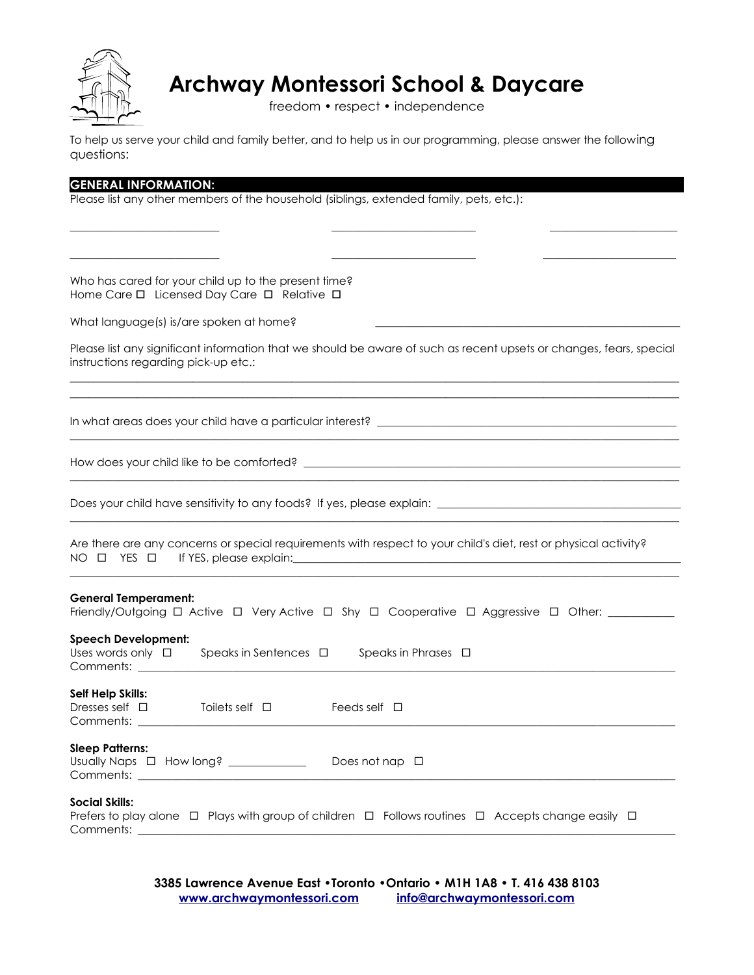

freedom • respect • independence

To help us serve your child and family better, and to help us in our programming, please answer the following questions:

| <b>GENERAL INFORMATION:</b>                                                                                                                                 |
|-------------------------------------------------------------------------------------------------------------------------------------------------------------|
| Please list any other members of the household (siblings, extended family, pets, etc.):                                                                     |
|                                                                                                                                                             |
|                                                                                                                                                             |
|                                                                                                                                                             |
|                                                                                                                                                             |
| Who has cared for your child up to the present time?<br>Home Care D Licensed Day Care D Relative D                                                          |
| What language(s) is/are spoken at home?                                                                                                                     |
| Please list any significant information that we should be aware of such as recent upsets or changes, fears, special<br>instructions regarding pick-up etc.: |
|                                                                                                                                                             |
|                                                                                                                                                             |
|                                                                                                                                                             |
| Are there are any concerns or special requirements with respect to your child's diet, rest or physical activity?                                            |
| <b>General Temperament:</b><br>Friendly/Outgoing □ Active □ Very Active □ Shy □ Cooperative □ Aggressive □ Other: _________                                 |
| <b>Speech Development:</b><br>Uses words only $\Box$<br>Speaks in Sentences $\Box$ Speaks in Phrases $\Box$<br>Comments: _________                          |
| Self Help Skills:<br>Dresses self $\square$<br>Toilets self $\Box$<br>Feeds self $\Box$<br>Comments:                                                        |
| <b>Sleep Patterns:</b>                                                                                                                                      |
| <b>Social Skills:</b><br>Prefers to play alone $\Box$ Plays with group of children $\Box$ Follows routines $\Box$ Accepts change easily $\Box$<br>Comments: |

**3385 Lawrence Avenue East •Toronto •Ontario • M1H 1A8 • T. 416 438 8103 [www.archwaymontessori.com](http://www.archwaymontessori.com/) [info@archwaymontessori.com](mailto:info@archwaymontessori.com)**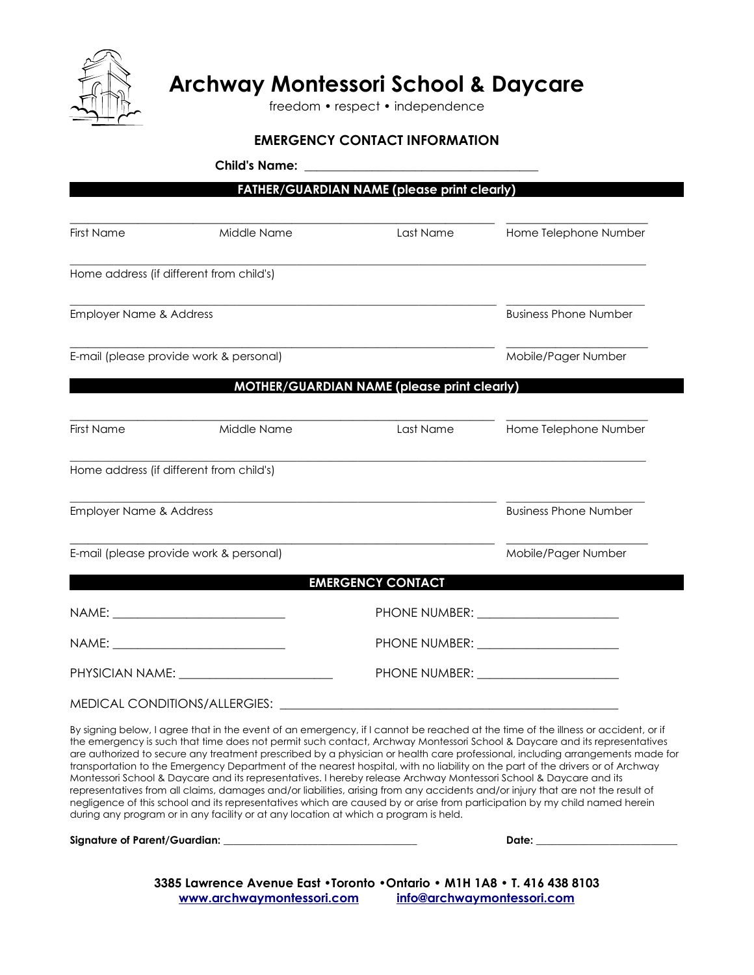

freedom • respect • independence

### **EMERGENCY CONTACT INFORMATION**

|                                    |                                          | <b>FATHER/GUARDIAN NAME (please print clearly)</b> |                                       |
|------------------------------------|------------------------------------------|----------------------------------------------------|---------------------------------------|
| <b>First Name</b>                  | Middle Name                              | Last Name                                          | Home Telephone Number                 |
|                                    | Home address (if different from child's) |                                                    |                                       |
| <b>Employer Name &amp; Address</b> |                                          |                                                    | <b>Business Phone Number</b>          |
|                                    | E-mail (please provide work & personal)  |                                                    | Mobile/Pager Number                   |
|                                    |                                          | MOTHER/GUARDIAN NAME (please print clearly)        |                                       |
| First Name                         | Middle Name                              | Last Name                                          | Home Telephone Number                 |
|                                    | Home address (if different from child's) |                                                    |                                       |
| <b>Employer Name &amp; Address</b> |                                          |                                                    | <b>Business Phone Number</b>          |
|                                    | E-mail (please provide work & personal)  |                                                    | Mobile/Pager Number                   |
|                                    |                                          | <b>EMERGENCY CONTACT</b>                           |                                       |
|                                    | NAME: _______________________________    |                                                    | PHONE NUMBER: _______________________ |
|                                    | NAME: _______________________________    |                                                    |                                       |
|                                    |                                          |                                                    |                                       |

MEDICAL CONDITIONS/ALLERGIES: \_\_\_\_\_\_\_\_\_\_\_\_\_\_\_\_\_\_\_\_\_\_\_\_\_\_\_\_\_\_\_\_\_\_\_\_\_\_\_\_\_\_\_\_\_\_\_\_\_\_\_\_\_\_\_

By signing below, I agree that in the event of an emergency, if I cannot be reached at the time of the illness or accident, or if the emergency is such that time does not permit such contact, Archway Montessori School & Daycare and its representatives are authorized to secure any treatment prescribed by a physician or health care professional, including arrangements made for transportation to the Emergency Department of the nearest hospital, with no liability on the part of the drivers or of Archway Montessori School & Daycare and its representatives. I hereby release Archway Montessori School & Daycare and its representatives from all claims, damages and/or liabilities, arising from any accidents and/or injury that are not the result of negligence of this school and its representatives which are caused by or arise from participation by my child named herein during any program or in any facility or at any location at which a program is held.

**Signature of Parent/Guardian: \_\_\_\_\_\_\_\_\_\_\_\_\_\_\_\_\_\_\_\_\_\_\_\_\_\_\_\_\_\_\_\_\_\_\_\_\_ Date: \_\_\_\_\_\_\_\_\_\_\_\_\_\_\_\_\_\_\_\_\_\_\_\_\_\_\_**

**3385 Lawrence Avenue East •Toronto •Ontario • M1H 1A8 • T. 416 438 8103 [www.archwaymontessori.com](http://www.archwaymontessori.com/) [info@archwaymontessori.com](mailto:info@archwaymontessori.com)**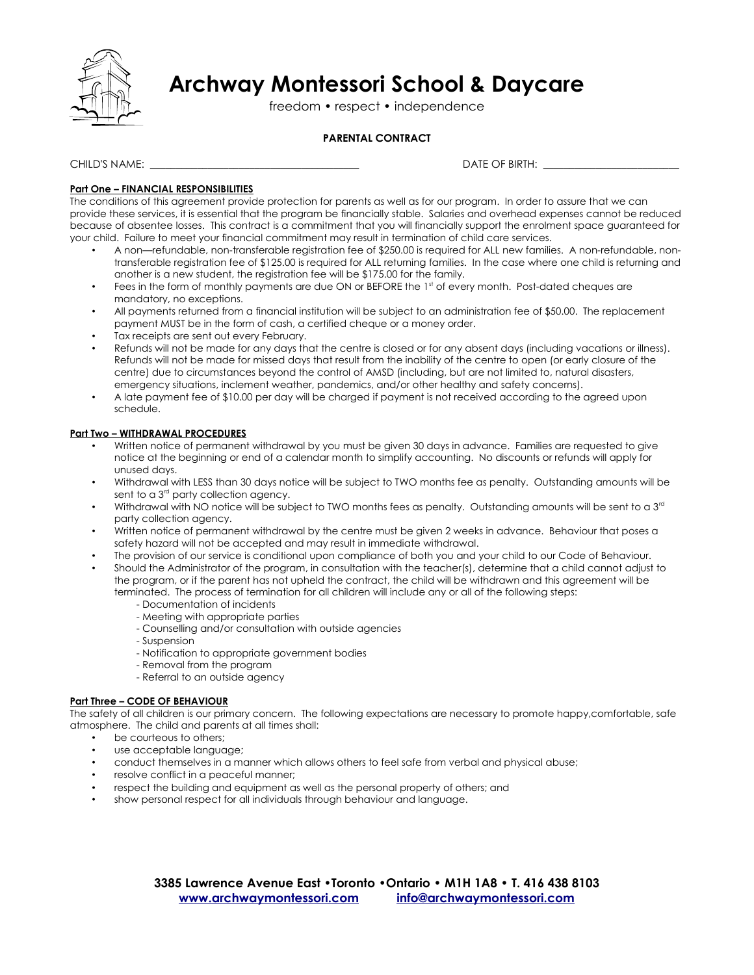

freedom • respect • independence

### **PARENTAL CONTRACT**

CHILD'S NAME: \_\_\_\_\_\_\_\_\_\_\_\_\_\_\_\_\_\_\_\_\_\_\_\_\_\_\_\_\_\_\_\_\_\_\_\_\_\_\_\_ DATE OF BIRTH: \_\_\_\_\_\_\_\_\_\_\_\_\_\_\_\_\_\_\_\_\_\_\_\_\_\_

### **Part One – FINANCIAL RESPONSIBILITIES**

The conditions of this agreement provide protection for parents as well as for our program. In order to assure that we can provide these services, it is essential that the program be financially stable. Salaries and overhead expenses cannot be reduced because of absentee losses. This contract is a commitment that you will financially support the enrolment space guaranteed for your child. Failure to meet your financial commitment may result in termination of child care services.

- A non—refundable, non-transferable registration fee of \$250.00 is required for ALL new families. A non-refundable, nontransferable registration fee of \$125.00 is required for ALL returning families. In the case where one child is returning and another is a new student, the registration fee will be \$175.00 for the family.
- Fees in the form of monthly payments are due ON or BEFORE the 1st of every month. Post-dated cheques are mandatory, no exceptions.
- All payments returned from a financial institution will be subject to an administration fee of \$50.00. The replacement payment MUST be in the form of cash, a certified cheque or a money order.
- Tax receipts are sent out every February.
- Refunds will not be made for any days that the centre is closed or for any absent days (including vacations or illness). Refunds will not be made for missed days that result from the inability of the centre to open (or early closure of the centre) due to circumstances beyond the control of AMSD (including, but are not limited to, natural disasters, emergency situations, inclement weather, pandemics, and/or other healthy and safety concerns).
- A late payment fee of \$10.00 per day will be charged if payment is not received according to the agreed upon schedule.

### **Part Two – WITHDRAWAL PROCEDURES**

- Written notice of permanent withdrawal by you must be given 30 days in advance. Families are requested to give notice at the beginning or end of a calendar month to simplify accounting. No discounts or refunds will apply for unused days.
- Withdrawal with LESS than 30 days notice will be subject to TWO months fee as penalty. Outstanding amounts will be sent to a 3<sup>rd</sup> party collection agency.
- Withdrawal with NO notice will be subject to TWO months fees as penalty. Outstanding amounts will be sent to a 3<sup>rd</sup> party collection agency.
- Written notice of permanent withdrawal by the centre must be given 2 weeks in advance. Behaviour that poses a safety hazard will not be accepted and may result in immediate withdrawal.
- The provision of our service is conditional upon compliance of both you and your child to our Code of Behaviour.
- Should the Administrator of the program, in consultation with the teacher(s), determine that a child cannot adjust to the program, or if the parent has not upheld the contract, the child will be withdrawn and this agreement will be terminated. The process of termination for all children will include any or all of the following steps:
	- Documentation of incidents
	- Meeting with appropriate parties
	- Counselling and/or consultation with outside agencies
	- Suspension
	- Notification to appropriate government bodies
	- Removal from the program
	- Referral to an outside agency

### **Part Three – CODE OF BEHAVIOUR**

The safety of all children is our primary concern. The following expectations are necessary to promote happy,comfortable, safe atmosphere. The child and parents at all times shall:

- be courteous to others;
- use acceptable language;
- conduct themselves in a manner which allows others to feel safe from verbal and physical abuse;
- resolve conflict in a peaceful manner;
- respect the building and equipment as well as the personal property of others; and
- show personal respect for all individuals through behaviour and language.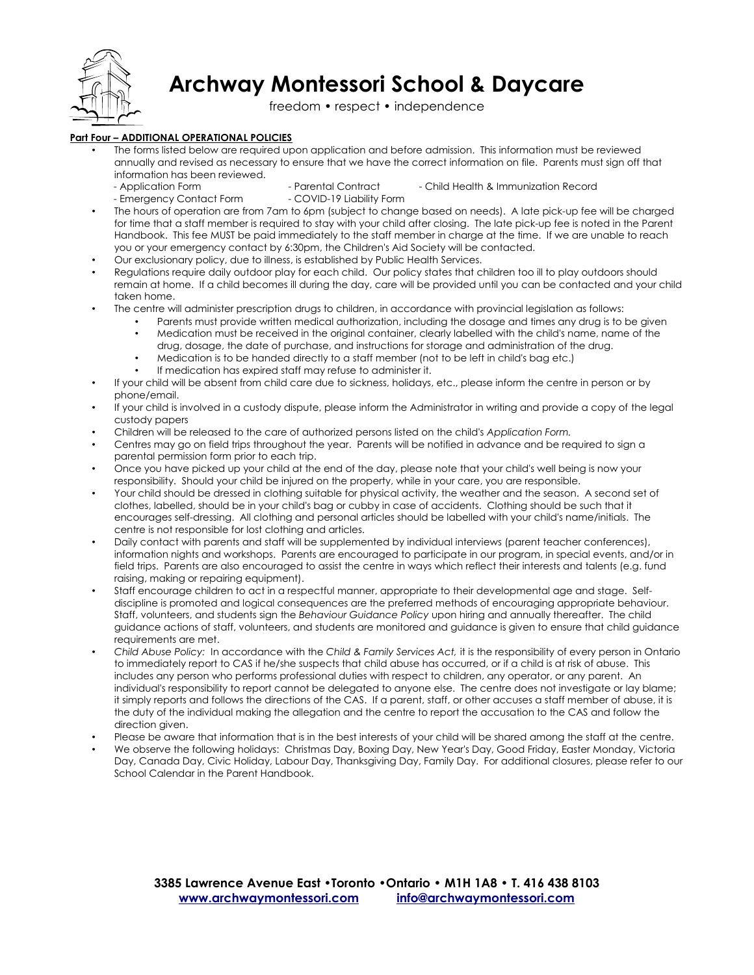

freedom • respect • independence

### **Part Four – ADDITIONAL OPERATIONAL POLICIES**

• The forms listed below are required upon application and before admission. This information must be reviewed annually and revised as necessary to ensure that we have the correct information on file. Parents must sign off that information has been reviewed.

- Application Form Parental Contract Child Health & Immunization Record
- Emergency Contact Form COVID-19 Liability Form
- The hours of operation are from 7am to 6pm (subject to change based on needs). A late pick-up fee will be charged for time that a staff member is required to stay with your child after closing. The late pick-up fee is noted in the Parent Handbook. This fee MUST be paid immediately to the staff member in charge at the time. If we are unable to reach you or your emergency contact by 6:30pm, the Children's Aid Society will be contacted.
- Our exclusionary policy, due to illness, is established by Public Health Services.
- Regulations require daily outdoor play for each child. Our policy states that children too ill to play outdoors should remain at home. If a child becomes ill during the day, care will be provided until you can be contacted and your child taken home.
- The centre will administer prescription drugs to children, in accordance with provincial legislation as follows:
	- Parents must provide written medical authorization, including the dosage and times any drug is to be given
	- Medication must be received in the original container, clearly labelled with the child's name, name of the drug, dosage, the date of purchase, and instructions for storage and administration of the drug.
	- Medication is to be handed directly to a staff member (not to be left in child's bag etc.)
	- If medication has expired staff may refuse to administer it.
- If your child will be absent from child care due to sickness, holidays, etc., please inform the centre in person or by phone/email.
- If your child is involved in a custody dispute, please inform the Administrator in writing and provide a copy of the legal custody papers
- Children will be released to the care of authorized persons listed on the child's *Application Form.*
- Centres may go on field trips throughout the year. Parents will be notified in advance and be required to sign a parental permission form prior to each trip.
- Once you have picked up your child at the end of the day, please note that your child's well being is now your responsibility. Should your child be injured on the property, while in your care, you are responsible.
- Your child should be dressed in clothing suitable for physical activity, the weather and the season. A second set of clothes, labelled, should be in your child's bag or cubby in case of accidents. Clothing should be such that it encourages self-dressing. All clothing and personal articles should be labelled with your child's name/initials. The centre is not responsible for lost clothing and articles.
- Daily contact with parents and staff will be supplemented by individual interviews (parent teacher conferences), information nights and workshops. Parents are encouraged to participate in our program, in special events, and/or in field trips. Parents are also encouraged to assist the centre in ways which reflect their interests and talents (e.g. fund raising, making or repairing equipment).
- Staff encourage children to act in a respectful manner, appropriate to their developmental age and stage. Selfdiscipline is promoted and logical consequences are the preferred methods of encouraging appropriate behaviour. Staff, volunteers, and students sign the *Behaviour Guidance Policy* upon hiring and annually thereafter. The child guidance actions of staff, volunteers, and students are monitored and guidance is given to ensure that child guidance requirements are met.
- *Child Abuse Policy:* In accordance with the *Child & Family Services Act,* it is the responsibility of every person in Ontario to immediately report to CAS if he/she suspects that child abuse has occurred, or if a child is at risk of abuse. This includes any person who performs professional duties with respect to children, any operator, or any parent. An individual's responsibility to report cannot be delegated to anyone else. The centre does not investigate or lay blame; it simply reports and follows the directions of the CAS. If a parent, staff, or other accuses a staff member of abuse, it is the duty of the individual making the allegation and the centre to report the accusation to the CAS and follow the direction given.
- Please be aware that information that is in the best interests of your child will be shared among the staff at the centre.
- We observe the following holidays: Christmas Day, Boxing Day, New Year's Day, Good Friday, Easter Monday, Victoria Day, Canada Day, Civic Holiday, Labour Day, Thanksgiving Day, Family Day. For additional closures, please refer to our School Calendar in the Parent Handbook.